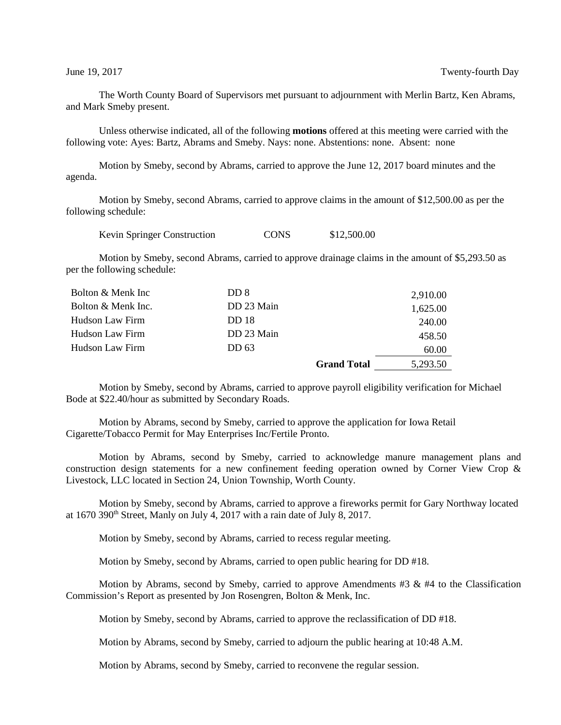The Worth County Board of Supervisors met pursuant to adjournment with Merlin Bartz, Ken Abrams, and Mark Smeby present.

Unless otherwise indicated, all of the following **motions** offered at this meeting were carried with the following vote: Ayes: Bartz, Abrams and Smeby. Nays: none. Abstentions: none. Absent: none

Motion by Smeby, second by Abrams, carried to approve the June 12, 2017 board minutes and the agenda.

Motion by Smeby, second Abrams, carried to approve claims in the amount of \$12,500.00 as per the following schedule:

Kevin Springer Construction CONS \$12,500.00

Motion by Smeby, second Abrams, carried to approve drainage claims in the amount of \$5,293.50 as per the following schedule:

| Bolton & Menk Inc  | DD 8         |                    | 2,910.00 |
|--------------------|--------------|--------------------|----------|
| Bolton & Menk Inc. | DD 23 Main   |                    | 1,625.00 |
| Hudson Law Firm    | <b>DD</b> 18 |                    | 240.00   |
| Hudson Law Firm    | DD 23 Main   |                    | 458.50   |
| Hudson Law Firm    | DD 63        |                    | 60.00    |
|                    |              | <b>Grand Total</b> | 5.293.50 |

Motion by Smeby, second by Abrams, carried to approve payroll eligibility verification for Michael Bode at \$22.40/hour as submitted by Secondary Roads.

Motion by Abrams, second by Smeby, carried to approve the application for Iowa Retail Cigarette/Tobacco Permit for May Enterprises Inc/Fertile Pronto.

Motion by Abrams, second by Smeby, carried to acknowledge manure management plans and construction design statements for a new confinement feeding operation owned by Corner View Crop & Livestock, LLC located in Section 24, Union Township, Worth County.

Motion by Smeby, second by Abrams, carried to approve a fireworks permit for Gary Northway located at 1670 390th Street, Manly on July 4, 2017 with a rain date of July 8, 2017.

Motion by Smeby, second by Abrams, carried to recess regular meeting.

Motion by Smeby, second by Abrams, carried to open public hearing for DD #18.

Motion by Abrams, second by Smeby, carried to approve Amendments  $#3 \& #4$  to the Classification Commission's Report as presented by Jon Rosengren, Bolton & Menk, Inc.

Motion by Smeby, second by Abrams, carried to approve the reclassification of DD #18.

Motion by Abrams, second by Smeby, carried to adjourn the public hearing at 10:48 A.M.

Motion by Abrams, second by Smeby, carried to reconvene the regular session.